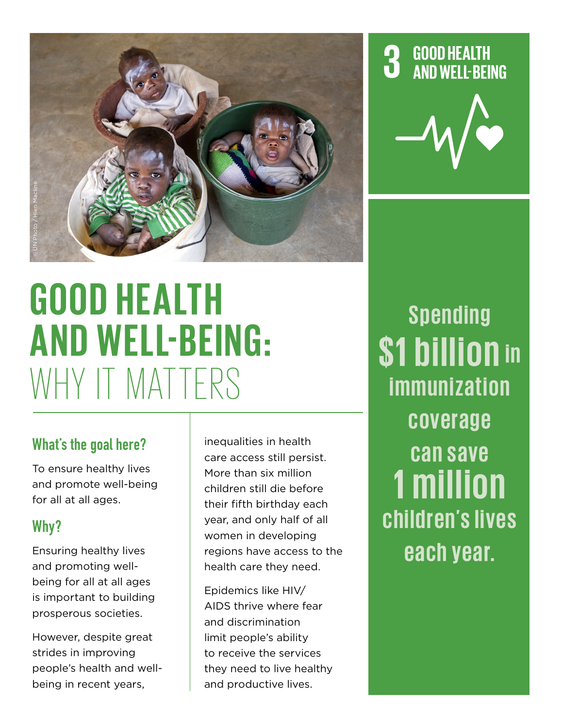

# **GOOD HEALTH A ND W EL L-BEING:**  ER ON PHEALTH

#### What's the goal here?

To ensure healthy lives and promote well-being for all at all ages.

### Why?

Ensuring healthy lives and promoting wellbeing for all at all ages is important to building prosperous societies.

However, despite great strides in improving people's health and wellbeing in recent years,

inequalities in health care access still persist. More than six million children still die before their fifth birthday each year, and only half of all women in developing regions have access to the health care they need.

Epidemics like HIV/ AIDS thrive where fear and discrimination limit people's ability to receive the services they need to live healthy and productive lives.

# **GOOD HEALTH AND WELL-BEING**



**Spending \$1 billion in immunization c ove ra g e can save 1 million** children's lives **each year.**